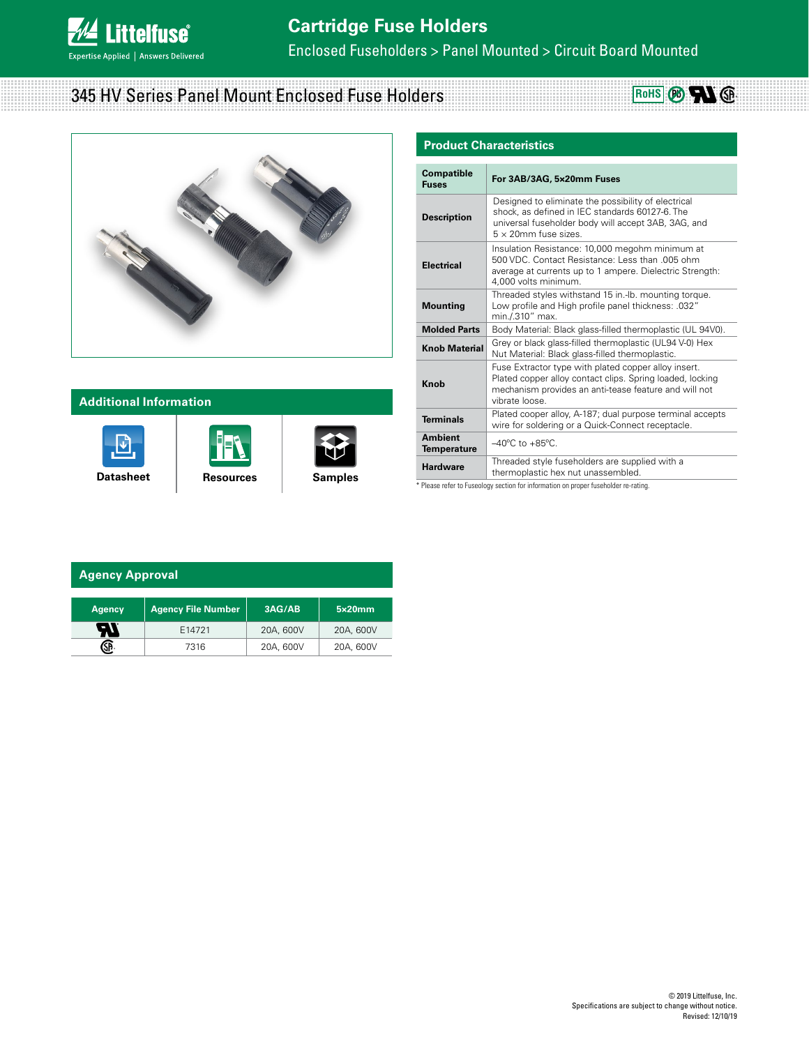

Enclosed Fuseholders > Panel Mounted > Circuit Board Mounted

# 345 HV Series Panel Mount Enclosed Fuse Holders





### **Additional Information**







| <b>Product Characteristics</b>                                                                                                                                                                      |                                                                                                                                                                                               |  |  |  |  |
|-----------------------------------------------------------------------------------------------------------------------------------------------------------------------------------------------------|-----------------------------------------------------------------------------------------------------------------------------------------------------------------------------------------------|--|--|--|--|
| <b>Compatible</b><br><b>Fuses</b>                                                                                                                                                                   | For 3AB/3AG, 5x20mm Fuses                                                                                                                                                                     |  |  |  |  |
| <b>Description</b>                                                                                                                                                                                  | Designed to eliminate the possibility of electrical<br>shock, as defined in IEC standards 60127-6. The<br>universal fuseholder body will accept 3AB, 3AG, and<br>$5 \times 20$ mm fuse sizes. |  |  |  |  |
| <b>Electrical</b>                                                                                                                                                                                   | Insulation Resistance: 10,000 megohm minimum at<br>500 VDC. Contact Resistance: Less than .005 ohm.<br>average at currents up to 1 ampere. Dielectric Strength:<br>4,000 volts minimum.       |  |  |  |  |
| Threaded styles withstand 15 in.-lb. mounting torque.<br>Low profile and High profile panel thickness: .032"<br><b>Mounting</b><br>min./.310" max.                                                  |                                                                                                                                                                                               |  |  |  |  |
| <b>Molded Parts</b>                                                                                                                                                                                 | Body Material: Black glass-filled thermoplastic (UL 94V0).                                                                                                                                    |  |  |  |  |
| Grey or black glass-filled thermoplastic (UL94 V-0) Hex<br><b>Knob Material</b><br>Nut Material: Black glass-filled thermoplastic.                                                                  |                                                                                                                                                                                               |  |  |  |  |
| Fuse Extractor type with plated copper alloy insert.<br>Plated copper alloy contact clips. Spring loaded, locking<br>Knob<br>mechanism provides an anti-tease feature and will not<br>vibrate loose |                                                                                                                                                                                               |  |  |  |  |
| <b>Terminals</b>                                                                                                                                                                                    | Plated cooper alloy, A-187; dual purpose terminal accepts<br>wire for soldering or a Quick-Connect receptacle.                                                                                |  |  |  |  |
| <b>Ambient</b><br><b>Temperature</b>                                                                                                                                                                | $-40^{\circ}$ C to $+85^{\circ}$ C.                                                                                                                                                           |  |  |  |  |
| <b>Hardware</b>                                                                                                                                                                                     | Threaded style fuseholders are supplied with a<br>thermoplastic hex nut unassembled.                                                                                                          |  |  |  |  |

\* Please refer to Fuseology section for information on proper fuseholder re-rating.

#### **Agency Approval**

| <b>Agency</b> | <b>Agency File Number</b> | 3AG/AB    | 5x20mm    |
|---------------|---------------------------|-----------|-----------|
| -11           | E14721                    | 20A, 600V | 20A, 600V |
|               | 7316                      | 20A, 600V | 20A, 600V |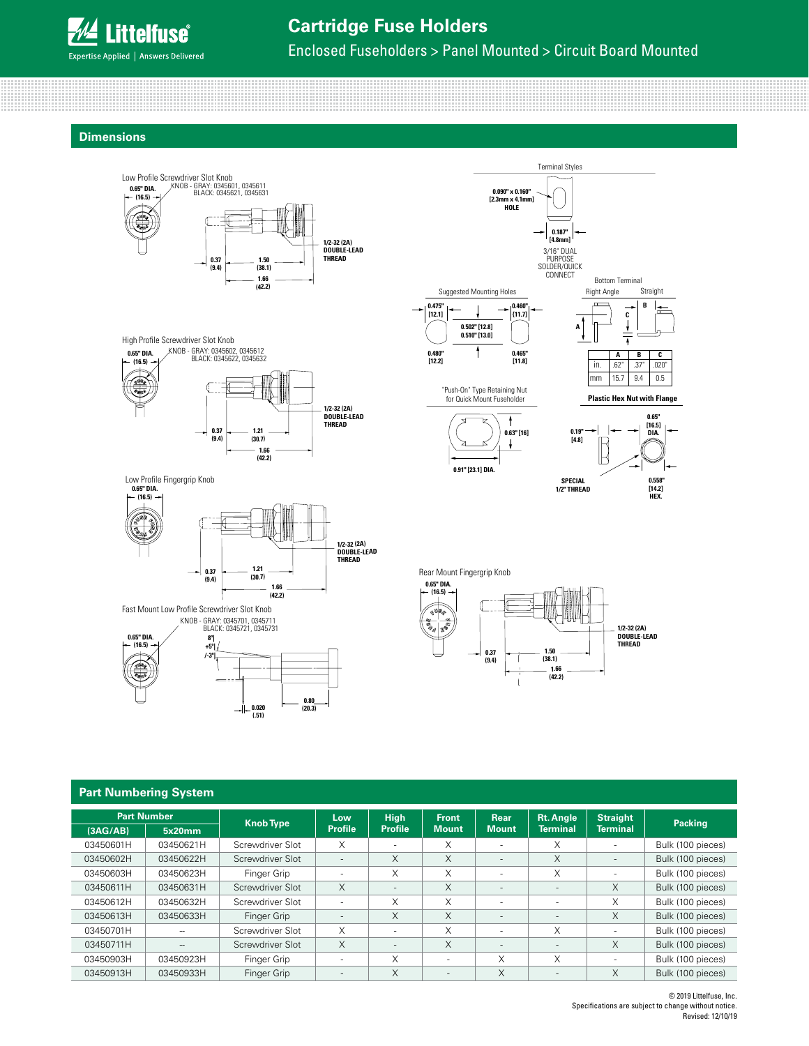

## **Cartridge Fuse Holders**

Enclosed Fuseholders > Panel Mounted > Circuit Board Mounted

0.090" x 0.160 **[2.3mm x 4.1mm] HOLE**

> **0.460" {11.7]**

**0.465" [11.8]**

 $\ddagger$ 

 $\downarrow$ 

**0.63" [16] 0.19"**

Terminal Styles

3/16" DUAL PURPOSE SOLDER/OURCK CONNECT

**A**

in. mm

R

⊮

**[4.8]**

**SPECIAL 1/2" THREAD**

**0.187" [4.8mm]**

Bottom Terminal

Right Angle Straight

 $\downarrow$ 7

**B C**

> **0.65" [16.5] DIA.**

> > **0.558" [14.2] HEX.**

 $\begin{array}{|c|c|c|}\n\hline\nA & B \\
\hline\n62^\circ & .37^\circ\n\end{array}$  $62"$ 15.7 9.4 0.5  $\frac{c}{.020}$ 

**Dimensions**



Fast Mount Low Profile Screwdriver Slot Knob

**0.65" DIA. (16.5) 8º|**

**(9.4)**

**+5º| /-3º|**

KNOB - GRAY: 0345701, 0345711 BLACK: 0345721, 0345731

**0.020 (.51)**

**0.80 (20.3)**

**1.66 (42.2)** Rear Mount Fingergrip Knob **0.65" DIA. (16.5)** ß **1/2-32 (2A) DOUBLE-LEAD THREAD 1.50 (38.1) 0.37 (9.4)**

**1.66 (42.2)**

| <b>Part Numbering System</b> |                              |                  |                          |                               |                              |                             |                                     |                                    |                   |
|------------------------------|------------------------------|------------------|--------------------------|-------------------------------|------------------------------|-----------------------------|-------------------------------------|------------------------------------|-------------------|
| (3AG/AB)                     | <b>Part Number</b><br>5x20mm | <b>Knob Type</b> | Low<br><b>Profile</b>    | <b>High</b><br><b>Profile</b> | <b>Front</b><br><b>Mount</b> | <b>Rear</b><br><b>Mount</b> | <b>Rt. Angle</b><br><b>Terminal</b> | <b>Straight</b><br><b>Terminal</b> | <b>Packing</b>    |
| 03450601H                    | 03450621H                    | Screwdriver Slot | X                        | ٠                             | X                            | $\overline{\phantom{a}}$    | X                                   | ۰                                  | Bulk (100 pieces) |
| 03450602H                    | 03450622H                    | Screwdriver Slot | $\overline{\phantom{a}}$ | X                             | X                            | $\overline{\phantom{a}}$    | X                                   | $\overline{\phantom{a}}$           | Bulk (100 pieces) |
| 03450603H                    | 03450623H                    | Finger Grip      | ٠                        | X                             | X                            | $\overline{\phantom{a}}$    | X                                   | ۰                                  | Bulk (100 pieces) |
| 03450611H                    | 03450631H                    | Screwdriver Slot | X                        | $\overline{\phantom{a}}$      | X                            | $\overline{\phantom{a}}$    | $\overline{\phantom{a}}$            | X                                  | Bulk (100 pieces) |
| 03450612H                    | 03450632H                    | Screwdriver Slot | ٠                        | X                             | X                            | $\overline{\phantom{a}}$    | $\overline{\phantom{a}}$            | X                                  | Bulk (100 pieces) |
| 03450613H                    | 03450633H                    | Finger Grip      | $\overline{\phantom{a}}$ | X                             | X                            | $\overline{\phantom{a}}$    | $\overline{\phantom{a}}$            | X                                  | Bulk (100 pieces) |
| 03450701H                    |                              | Screwdriver Slot | X                        | $\sim$                        | X                            | $\overline{\phantom{a}}$    | X                                   | ÷                                  | Bulk (100 pieces) |
| 03450711H                    | $\hspace{0.05cm}$            | Screwdriver Slot | X                        | $\overline{\phantom{a}}$      | X                            | $\overline{\phantom{a}}$    | $\overline{\phantom{a}}$            | X                                  | Bulk (100 pieces) |
| 03450903H                    | 03450923H                    | Finger Grip      | $\sim$                   | X                             | $\sim$                       | X                           | X                                   | $\sim$                             | Bulk (100 pieces) |
| 03450913H                    | 03450933H                    | Finger Grip      | $\overline{\phantom{a}}$ | X                             | $\overline{\phantom{a}}$     | X                           | $\overline{\phantom{a}}$            | X                                  | Bulk (100 pieces) |

© 2019 Littelfuse, Inc. Specifications are subject to change without notice. Revised: 12/10/19